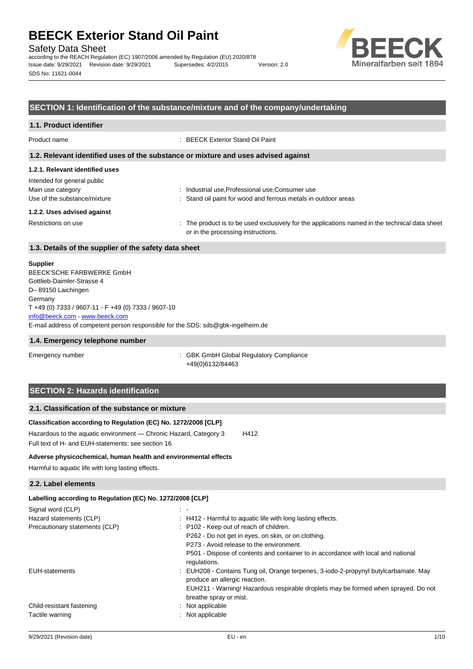Safety Data Sheet

according to the REACH Regulation (EC) 1907/2006 amended by Regulation (EU) 2020/878 Issue date: 9/29/2021 Revision date: 9/29/2021 Supersedes: 4/2/2015 Version: 2.0 SDS No: 11621-0044



# **SECTION 1: Identification of the substance/mixture and of the company/undertaking**

#### **1.1. Product identifier**

Product name : BEECK Exterior Stand Oil Paint

#### **1.2. Relevant identified uses of the substance or mixture and uses advised against**

# **1.2.1. Relevant identified uses**

| Intended for general public  |                                                                                                                                      |
|------------------------------|--------------------------------------------------------------------------------------------------------------------------------------|
| Main use category            | : Industrial use, Professional use, Consumer use                                                                                     |
| Use of the substance/mixture | : Stand oil paint for wood and ferrous metals in outdoor areas                                                                       |
| 1.2.2. Uses advised against  |                                                                                                                                      |
| Restrictions on use          | : The product is to be used exclusively for the applications named in the technical data sheet<br>or in the processing instructions. |

### **1.3. Details of the supplier of the safety data sheet**

#### **Supplier**

E-mail address of competent person responsible for the SDS: sds@gbk-ingelheim.de BEECK'SCHE FARBWERKE GmbH Gottlieb-Daimler-Strasse 4 D– 89150 Laichingen **Germany** T +49 (0) 7333 / 9607-11 - F +49 (0) 7333 / 9607-10 [info@beeck.com](mailto:info@beeck.com) - [www.beeck.com](http://www.beeck.com/)

#### **1.4. Emergency telephone number**

Emergency number **Emergency** number **1996** is GBK GmbH Global Regulatory Compliance +49(0)6132/84463

# **SECTION 2: Hazards identification**

### **2.1. Classification of the substance or mixture**

# **Classification according to Regulation (EC) No. 1272/2008 [CLP]**

Hazardous to the aquatic environment - Chronic Hazard, Category 3 H412 Full text of H- and EUH-statements: see section 16

#### **Adverse physicochemical, human health and environmental effects**

Harmful to aquatic life with long lasting effects.

# **2.2. Label elements**

| Labelling according to Regulation (EC) No. 1272/2008 [CLP] |                                                                                                                       |
|------------------------------------------------------------|-----------------------------------------------------------------------------------------------------------------------|
| Signal word (CLP)                                          | $\sim$ $-$                                                                                                            |
| Hazard statements (CLP)                                    | : H412 - Harmful to aquatic life with long lasting effects.                                                           |
| Precautionary statements (CLP)                             | : P102 - Keep out of reach of children.                                                                               |
|                                                            | P262 - Do not get in eyes, on skin, or on clothing.                                                                   |
|                                                            | P273 - Avoid release to the environment.                                                                              |
|                                                            | P501 - Dispose of contents and container to in accordance with local and national<br>regulations.                     |
| <b>EUH-statements</b>                                      | : EUH208 - Contains Tung oil, Orange terpenes, 3-iodo-2-propynyl butylcarbamate. May<br>produce an allergic reaction. |
|                                                            | EUH211 - Warning! Hazardous respirable droplets may be formed when sprayed. Do not<br>breathe spray or mist.          |
| Child-resistant fastening                                  | : Not applicable                                                                                                      |
| Tactile warning                                            | : Not applicable                                                                                                      |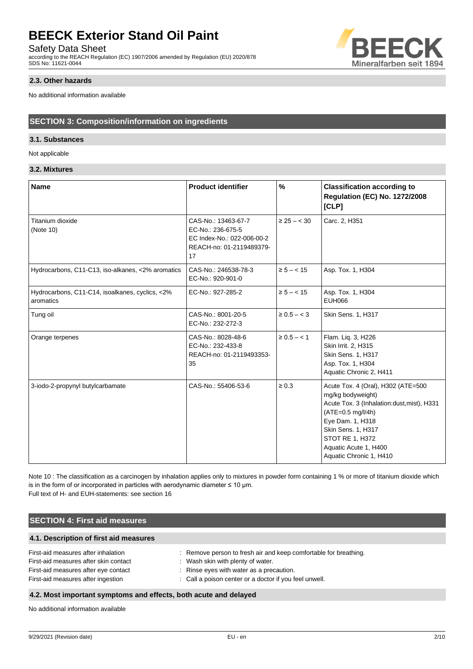Safety Data Sheet

according to the REACH Regulation (EC) 1907/2006 amended by Regulation (EU) 2020/878 SDS No: 11621-0044



No additional information available

# **SECTION 3: Composition/information on ingredients**

# **3.1. Substances**

Not applicable

# **3.2. Mixtures**

| <b>Name</b>                                                  | <b>Product identifier</b>                                                                                | $\%$             | <b>Classification according to</b><br><b>Regulation (EC) No. 1272/2008</b><br>[CLP]                                                                                                                                                           |
|--------------------------------------------------------------|----------------------------------------------------------------------------------------------------------|------------------|-----------------------------------------------------------------------------------------------------------------------------------------------------------------------------------------------------------------------------------------------|
| Titanium dioxide<br>(Note 10)                                | CAS-No.: 13463-67-7<br>EC-No.: 236-675-5<br>EC Index-No.: 022-006-00-2<br>REACH-no: 01-2119489379-<br>17 | $\geq 25 - < 30$ | Carc. 2, H351                                                                                                                                                                                                                                 |
| Hydrocarbons, C11-C13, iso-alkanes, <2% aromatics            | CAS-No.: 246538-78-3<br>EC-No.: 920-901-0                                                                | $\ge 5 - < 15$   | Asp. Tox. 1, H304                                                                                                                                                                                                                             |
| Hydrocarbons, C11-C14, isoalkanes, cyclics, <2%<br>aromatics | EC-No.: 927-285-2                                                                                        | $\ge 5 - < 15$   | Asp. Tox. 1, H304<br>EUH066                                                                                                                                                                                                                   |
| Tung oil                                                     | CAS-No.: 8001-20-5<br>EC-No.: 232-272-3                                                                  | $\ge 0.5 - < 3$  | Skin Sens. 1, H317                                                                                                                                                                                                                            |
| Orange terpenes                                              | CAS-No.: 8028-48-6<br>EC-No.: 232-433-8<br>REACH-no: 01-2119493353-<br>35                                | $\ge 0.5 - < 1$  | Flam. Liq. 3, H226<br>Skin Irrit. 2, H315<br>Skin Sens. 1, H317<br>Asp. Tox. 1, H304<br>Aquatic Chronic 2, H411                                                                                                                               |
| 3-iodo-2-propynyl butylcarbamate                             | CAS-No.: 55406-53-6                                                                                      | $\geq 0.3$       | Acute Tox. 4 (Oral), H302 (ATE=500<br>mg/kg bodyweight)<br>Acute Tox. 3 (Inhalation:dust, mist), H331<br>$(ATE=0.5 mg/l/4h)$<br>Eye Dam. 1, H318<br>Skin Sens. 1, H317<br>STOT RE 1, H372<br>Aquatic Acute 1, H400<br>Aquatic Chronic 1, H410 |

Note 10 : The classification as a carcinogen by inhalation applies only to mixtures in powder form containing 1 % or more of titanium dioxide which is in the form of or incorporated in particles with aerodynamic diameter  $\leq 10$  µm. Full text of H- and EUH-statements: see section 16

# **SECTION 4: First aid measures**

# **4.1. Description of first aid measures**

| First-aid measures after inhalation   | : Remove person to fresh air and keep comfortable for breathing. |
|---------------------------------------|------------------------------------------------------------------|
| First-aid measures after skin contact | : Wash skin with plenty of water.                                |
| First-aid measures after eye contact  | : Rinse eyes with water as a precaution.                         |
| First-aid measures after ingestion    | : Call a poison center or a doctor if you feel unwell.           |

# **4.2. Most important symptoms and effects, both acute and delayed**

No additional information available

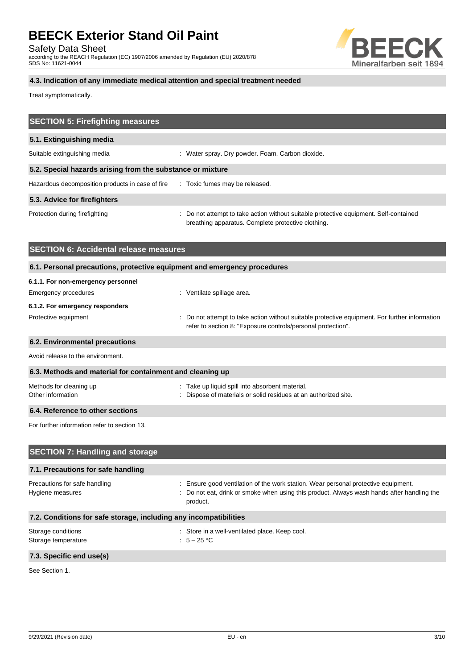Safety Data Sheet

according to the REACH Regulation (EC) 1907/2006 amended by Regulation (EU) 2020/878 SDS No: 11621-0044



# **4.3. Indication of any immediate medical attention and special treatment needed**

Treat symptomatically.

| <b>SECTION 5: Firefighting measures</b>                                  |                                                                                                                                                              |
|--------------------------------------------------------------------------|--------------------------------------------------------------------------------------------------------------------------------------------------------------|
| 5.1. Extinguishing media                                                 |                                                                                                                                                              |
| Suitable extinguishing media                                             | : Water spray. Dry powder. Foam. Carbon dioxide.                                                                                                             |
| 5.2. Special hazards arising from the substance or mixture               |                                                                                                                                                              |
| Hazardous decomposition products in case of fire                         | : Toxic fumes may be released.                                                                                                                               |
| 5.3. Advice for firefighters                                             |                                                                                                                                                              |
| Protection during firefighting                                           | Do not attempt to take action without suitable protective equipment. Self-contained<br>breathing apparatus. Complete protective clothing.                    |
| <b>SECTION 6: Accidental release measures</b>                            |                                                                                                                                                              |
| 6.1. Personal precautions, protective equipment and emergency procedures |                                                                                                                                                              |
| 6.1.1. For non-emergency personnel                                       |                                                                                                                                                              |
| <b>Emergency procedures</b>                                              | : Ventilate spillage area.                                                                                                                                   |
| 6.1.2. For emergency responders                                          |                                                                                                                                                              |
| Protective equipment                                                     | Do not attempt to take action without suitable protective equipment. For further information<br>refer to section 8: "Exposure controls/personal protection". |
| 6.2. Environmental precautions                                           |                                                                                                                                                              |
| Avoid release to the environment.                                        |                                                                                                                                                              |
| 6.3. Methods and material for containment and cleaning up                |                                                                                                                                                              |
| Methods for cleaning up<br>Other information                             | : Take up liquid spill into absorbent material.<br>Dispose of materials or solid residues at an authorized site.                                             |
| 6.4. Reference to other sections                                         |                                                                                                                                                              |
| For further information refer to section 13.                             |                                                                                                                                                              |
| <b>SECTION 7: Handling and storage</b>                                   |                                                                                                                                                              |
| 7.1. Precautions for safe handling                                       |                                                                                                                                                              |
| Precautions for safe handling                                            | : Ensure good ventilation of the work station. Wear personal protective equipment.                                                                           |
| Hygiene measures                                                         | Do not eat, drink or smoke when using this product. Always wash hands after handling the<br>product.                                                         |
| 7.2. Conditions for safe storage, including any incompatibilities        |                                                                                                                                                              |

# Storage temperature

# Storage conditions <br>Storage temperature  $\cdot$  Store in a well-ventilated place. Keep cool.<br>Storage temperature  $\cdot$  5 - 25 °C

# **7.3. Specific end use(s)**

See Section 1.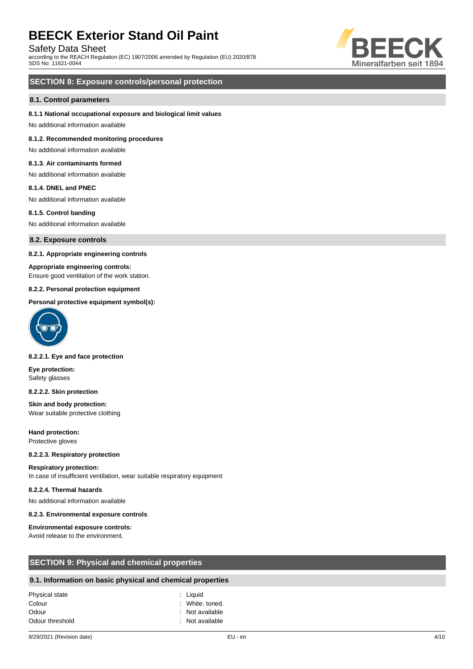Safety Data Sheet

according to the REACH Regulation (EC) 1907/2006 amended by Regulation (EU) 2020/878 SDS No: 11621-0044



# **SECTION 8: Exposure controls/personal protection**

#### **8.1. Control parameters**

#### **8.1.1 National occupational exposure and biological limit values**

No additional information available

#### **8.1.2. Recommended monitoring procedures**

No additional information available

# **8.1.3. Air contaminants formed**

No additional information available

#### **8.1.4. DNEL and PNEC**

No additional information available

#### **8.1.5. Control banding**

No additional information available

**8.2. Exposure controls**

#### **8.2.1. Appropriate engineering controls**

#### **Appropriate engineering controls:**

Ensure good ventilation of the work station.

#### **8.2.2. Personal protection equipment**

#### **Personal protective equipment symbol(s):**



#### **8.2.2.1. Eye and face protection**

**Eye protection:** Safety glasses

#### **8.2.2.2. Skin protection**

**Skin and body protection:** Wear suitable protective clothing

**Hand protection:** Protective gloves

#### **8.2.2.3. Respiratory protection**

**Respiratory protection:** In case of insufficient ventilation, wear suitable respiratory equipment

#### **8.2.2.4. Thermal hazards**

No additional information available

#### **8.2.3. Environmental exposure controls**

# **Environmental exposure controls:**

Avoid release to the environment.

| <b>SECTION 9: Physical and chemical properties</b> |  |
|----------------------------------------------------|--|
|----------------------------------------------------|--|

# **9.1. Information on basic physical and chemical properties**

| Physical state  | : Liguid        |
|-----------------|-----------------|
| Colour          | : White, toned. |
| Odour           | : Not available |
| Odour threshold | : Not available |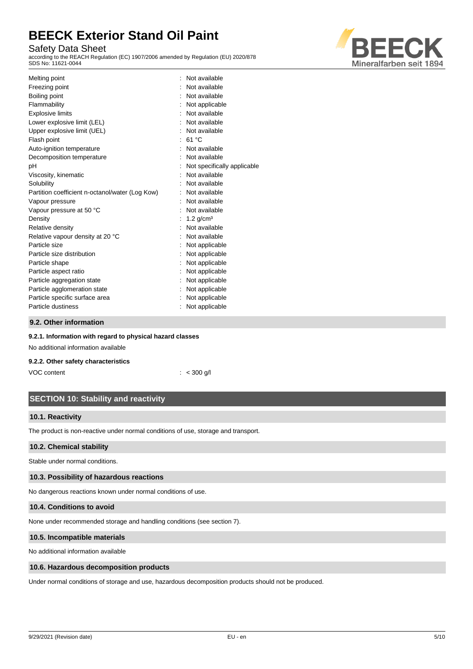# Safety Data Sheet

according to the REACH Regulation (EC) 1907/2006 amended by Regulation (EU) 2020/878 SDS No: 11621-0044



| Melting point                                   | Not available               |
|-------------------------------------------------|-----------------------------|
| Freezing point                                  | Not available               |
| Boiling point                                   | Not available               |
| Flammability                                    | Not applicable              |
| <b>Explosive limits</b>                         | Not available               |
| Lower explosive limit (LEL)                     | Not available               |
| Upper explosive limit (UEL)                     | Not available               |
| Flash point                                     | 61 °C                       |
| Auto-ignition temperature                       | Not available               |
| Decomposition temperature                       | Not available               |
| pH                                              | Not specifically applicable |
| Viscosity, kinematic                            | Not available               |
| Solubility                                      | Not available               |
| Partition coefficient n-octanol/water (Log Kow) | Not available               |
| Vapour pressure                                 | Not available               |
| Vapour pressure at 50 °C                        | Not available               |
| Density                                         | $1.2$ g/cm <sup>3</sup>     |
| Relative density                                | Not available               |
| Relative vapour density at 20 °C                | Not available               |
| Particle size                                   | Not applicable              |
| Particle size distribution                      | Not applicable              |
| Particle shape                                  | Not applicable              |
| Particle aspect ratio                           | Not applicable              |
| Particle aggregation state                      | Not applicable              |
| Particle agglomeration state                    | Not applicable              |
| Particle specific surface area                  | Not applicable              |
| Particle dustiness                              | Not applicable              |
|                                                 |                             |

# **9.2. Other information**

#### **9.2.1. Information with regard to physical hazard classes**

No additional information available

### **9.2.2. Other safety characteristics**

VOC content : < 300 g/l

# **SECTION 10: Stability and reactivity**

### **10.1. Reactivity**

The product is non-reactive under normal conditions of use, storage and transport.

# **10.2. Chemical stability**

Stable under normal conditions.

### **10.3. Possibility of hazardous reactions**

No dangerous reactions known under normal conditions of use.

### **10.4. Conditions to avoid**

None under recommended storage and handling conditions (see section 7).

#### **10.5. Incompatible materials**

No additional information available

#### **10.6. Hazardous decomposition products**

Under normal conditions of storage and use, hazardous decomposition products should not be produced.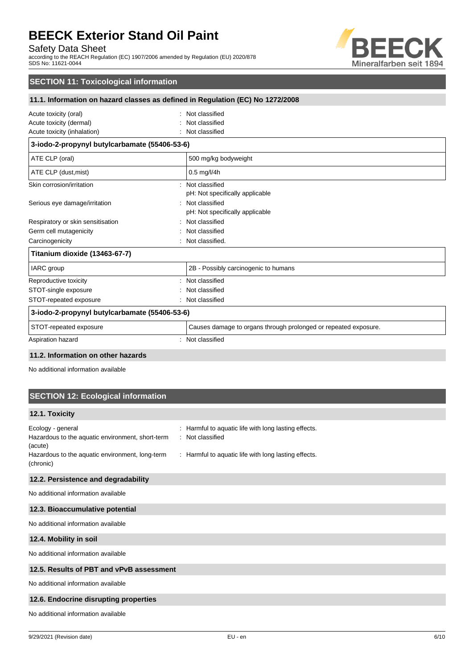Safety Data Sheet

according to the REACH Regulation (EC) 1907/2006 amended by Regulation (EU) 2020/878 SDS No: 11621-0044



# **SECTION 11: Toxicological information**

# **11.1. Information on hazard classes as defined in Regulation (EC) No 1272/2008**

| Acute toxicity (oral)                         | Not classified                                                  |
|-----------------------------------------------|-----------------------------------------------------------------|
| Acute toxicity (dermal)                       | Not classified                                                  |
| Acute toxicity (inhalation)                   | Not classified                                                  |
| 3-iodo-2-propynyl butylcarbamate (55406-53-6) |                                                                 |
| ATE CLP (oral)                                | 500 mg/kg bodyweight                                            |
| ATE CLP (dust, mist)                          | 0.5 mg/l/4h                                                     |
| Skin corrosion/irritation                     | Not classified                                                  |
|                                               | pH: Not specifically applicable                                 |
| Serious eye damage/irritation                 | Not classified                                                  |
|                                               | pH: Not specifically applicable                                 |
| Respiratory or skin sensitisation             | Not classified                                                  |
| Germ cell mutagenicity                        | Not classified                                                  |
| Carcinogenicity                               | Not classified.                                                 |
| Titanium dioxide (13463-67-7)                 |                                                                 |
| IARC group                                    | 2B - Possibly carcinogenic to humans                            |
| Reproductive toxicity                         | Not classified                                                  |
| STOT-single exposure                          | Not classified                                                  |
| STOT-repeated exposure                        | Not classified                                                  |
| 3-iodo-2-propynyl butylcarbamate (55406-53-6) |                                                                 |
| STOT-repeated exposure                        | Causes damage to organs through prolonged or repeated exposure. |
| Aspiration hazard                             | Not classified                                                  |
|                                               |                                                                 |

### **11.2. Information on other hazards**

No additional information available

# **SECTION 12: Ecological information**

### **12.1. Toxicity**

| Ecology - general<br>Hazardous to the aquatic environment, short-term<br>(acute) | : Harmful to aquatic life with long lasting effects.<br>: Not classified |
|----------------------------------------------------------------------------------|--------------------------------------------------------------------------|
| Hazardous to the aquatic environment, long-term<br>(chronic)                     | : Harmful to aquatic life with long lasting effects.                     |

### **12.2. Persistence and degradability**

No additional information available

#### **12.3. Bioaccumulative potential**

No additional information available

#### **12.4. Mobility in soil**

No additional information available

# **12.5. Results of PBT and vPvB assessment**

No additional information available

### **12.6. Endocrine disrupting properties**

No additional information available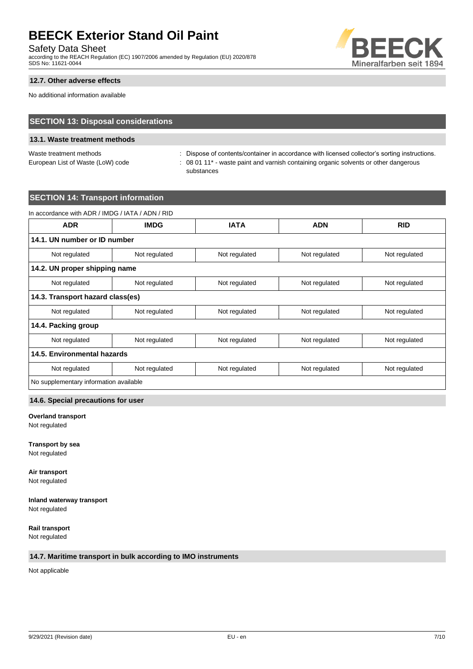Safety Data Sheet

according to the REACH Regulation (EC) 1907/2006 amended by Regulation (EU) 2020/878 SDS No: 11621-0044



# **12.7. Other adverse effects**

No additional information available

# **SECTION 13: Disposal considerations**

# **13.1. Waste treatment methods**

Waste treatment methods : Dispose of contents/container in accordance with licensed collector's sorting instructions. European List of Waste (LoW) code : 08 01 11<sup>\*</sup> - waste paint and varnish containing organic solvents or other dangerous substances

# **SECTION 14: Transport information**

| <b>ADR</b>                       | <b>IMDG</b>   | <b>IATA</b>   | <b>ADN</b>    | <b>RID</b>    |
|----------------------------------|---------------|---------------|---------------|---------------|
| 14.1. UN number or ID number     |               |               |               |               |
| Not regulated                    | Not regulated | Not regulated | Not regulated | Not regulated |
| 14.2. UN proper shipping name    |               |               |               |               |
| Not regulated                    | Not regulated | Not regulated | Not regulated | Not regulated |
| 14.3. Transport hazard class(es) |               |               |               |               |
| Not regulated                    | Not regulated | Not regulated | Not regulated | Not regulated |
| 14.4. Packing group              |               |               |               |               |
| Not regulated                    | Not regulated | Not regulated | Not regulated | Not regulated |
| 14.5. Environmental hazards      |               |               |               |               |
| Not regulated                    | Not regulated | Not regulated | Not regulated | Not regulated |

### **14.6. Special precautions for user**

# **Overland transport**

Not regulated

**Transport by sea** Not regulated

**Air transport** Not regulated

#### **Inland waterway transport** Not regulated

**Rail transport** Not regulated

### **14.7. Maritime transport in bulk according to IMO instruments**

Not applicable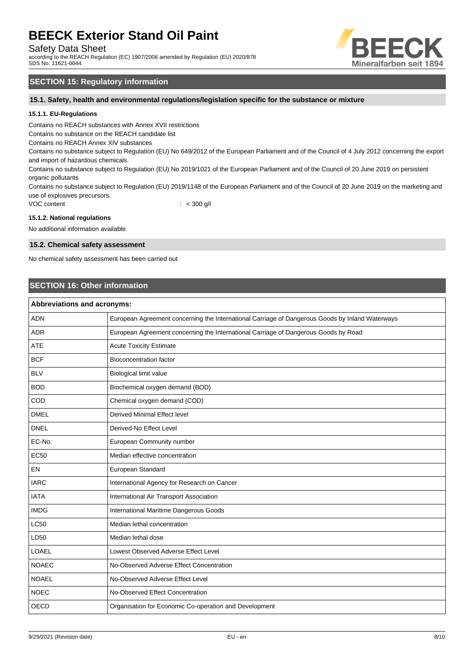Safety Data Sheet

according to the REACH Regulation (EC) 1907/2006 amended by Regulation (EU) 2020/878 SDS No: 11621-0044



# **SECTION 15: Regulatory information**

**15.1. Safety, health and environmental regulations/legislation specific for the substance or mixture**

#### **15.1.1. EU-Regulations**

Contains no REACH substances with Annex XVII restrictions

Contains no substance on the REACH candidate list

Contains no REACH Annex XIV substances

Contains no substance subject to Regulation (EU) No 649/2012 of the European Parliament and of the Council of 4 July 2012 concerning the export and import of hazardous chemicals.

Contains no substance subject to Regulation (EU) No 2019/1021 of the European Parliament and of the Council of 20 June 2019 on persistent organic pollutants

Contains no substance subject to Regulation (EU) 2019/1148 of the European Parliament and of the Council of 20 June 2019 on the marketing and use of explosives precursors.

VOC content : < 300 g/l

#### **15.1.2. National regulations**

No additional information available

#### **15.2. Chemical safety assessment**

No chemical safety assessment has been carried out

# **SECTION 16: Other information**

| <b>Abbreviations and acronyms:</b> |                                                                                                 |  |
|------------------------------------|-------------------------------------------------------------------------------------------------|--|
| <b>ADN</b>                         | European Agreement concerning the International Carriage of Dangerous Goods by Inland Waterways |  |
| <b>ADR</b>                         | European Agreement concerning the International Carriage of Dangerous Goods by Road             |  |
| <b>ATE</b>                         | <b>Acute Toxicity Estimate</b>                                                                  |  |
| <b>BCF</b>                         | <b>Bioconcentration factor</b>                                                                  |  |
| <b>BLV</b>                         | Biological limit value                                                                          |  |
| <b>BOD</b>                         | Biochemical oxygen demand (BOD)                                                                 |  |
| COD                                | Chemical oxygen demand (COD)                                                                    |  |
| <b>DMEL</b>                        | <b>Derived Minimal Effect level</b>                                                             |  |
| <b>DNEL</b>                        | Derived-No Effect Level                                                                         |  |
| EC-No.                             | European Community number                                                                       |  |
| <b>EC50</b>                        | Median effective concentration                                                                  |  |
| EN                                 | European Standard                                                                               |  |
| <b>IARC</b>                        | International Agency for Research on Cancer                                                     |  |
| <b>IATA</b>                        | International Air Transport Association                                                         |  |
| <b>IMDG</b>                        | International Maritime Dangerous Goods                                                          |  |
| <b>LC50</b>                        | Median lethal concentration                                                                     |  |
| LD50                               | Median lethal dose                                                                              |  |
| LOAEL                              | Lowest Observed Adverse Effect Level                                                            |  |
| <b>NOAEC</b>                       | No-Observed Adverse Effect Concentration                                                        |  |
| <b>NOAEL</b>                       | No-Observed Adverse Effect Level                                                                |  |
| <b>NOEC</b>                        | No-Observed Effect Concentration                                                                |  |
| <b>OECD</b>                        | Organisation for Economic Co-operation and Development                                          |  |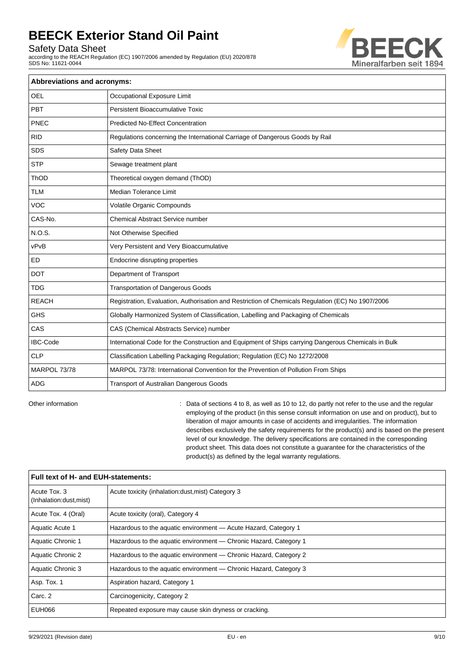Safety Data Sheet

according to the REACH Regulation (EC) 1907/2006 amended by Regulation (EU) 2020/878 SDS No: 11621-0044



| <b>Abbreviations and acronyms:</b> |                                                                                                     |  |  |
|------------------------------------|-----------------------------------------------------------------------------------------------------|--|--|
| <b>OEL</b>                         | Occupational Exposure Limit                                                                         |  |  |
| PBT                                | Persistent Bioaccumulative Toxic                                                                    |  |  |
| PNEC                               | <b>Predicted No-Effect Concentration</b>                                                            |  |  |
| <b>RID</b>                         | Regulations concerning the International Carriage of Dangerous Goods by Rail                        |  |  |
| <b>SDS</b>                         | Safety Data Sheet                                                                                   |  |  |
| <b>STP</b>                         | Sewage treatment plant                                                                              |  |  |
| ThOD                               | Theoretical oxygen demand (ThOD)                                                                    |  |  |
| <b>TLM</b>                         | <b>Median Tolerance Limit</b>                                                                       |  |  |
| <b>VOC</b>                         | Volatile Organic Compounds                                                                          |  |  |
| CAS-No.                            | <b>Chemical Abstract Service number</b>                                                             |  |  |
| N.O.S.                             | Not Otherwise Specified                                                                             |  |  |
| vPvB                               | Very Persistent and Very Bioaccumulative                                                            |  |  |
| <b>ED</b>                          | Endocrine disrupting properties                                                                     |  |  |
| <b>DOT</b>                         | Department of Transport                                                                             |  |  |
| <b>TDG</b>                         | <b>Transportation of Dangerous Goods</b>                                                            |  |  |
| <b>REACH</b>                       | Registration, Evaluation, Authorisation and Restriction of Chemicals Regulation (EC) No 1907/2006   |  |  |
| <b>GHS</b>                         | Globally Harmonized System of Classification, Labelling and Packaging of Chemicals                  |  |  |
| CAS                                | CAS (Chemical Abstracts Service) number                                                             |  |  |
| <b>IBC-Code</b>                    | International Code for the Construction and Equipment of Ships carrying Dangerous Chemicals in Bulk |  |  |
| <b>CLP</b>                         | Classification Labelling Packaging Regulation; Regulation (EC) No 1272/2008                         |  |  |
| MARPOL 73/78                       | MARPOL 73/78: International Convention for the Prevention of Pollution From Ships                   |  |  |
| <b>ADG</b>                         | Transport of Australian Dangerous Goods                                                             |  |  |

Other information **can be regular** : Data of sections 4 to 8, as well as 10 to 12, do partly not refer to the use and the regular employing of the product (in this sense consult information on use and on product), but to liberation of major amounts in case of accidents and irregularities. The information describes exclusively the safety requirements for the product(s) and is based on the present level of our knowledge. The delivery specifications are contained in the corresponding product sheet. This data does not constitute a guarantee for the characteristics of the product(s) as defined by the legal warranty regulations.

| Full text of H- and EUH-statements:    |                                                                   |  |
|----------------------------------------|-------------------------------------------------------------------|--|
| Acute Tox. 3<br>(Inhalation:dust.mist) | Acute toxicity (inhalation: dust, mist) Category 3                |  |
| Acute Tox. 4 (Oral)                    | Acute toxicity (oral), Category 4                                 |  |
| Aquatic Acute 1                        | Hazardous to the aguatic environment - Acute Hazard, Category 1   |  |
| Aquatic Chronic 1                      | Hazardous to the aquatic environment — Chronic Hazard, Category 1 |  |
| Aquatic Chronic 2                      | Hazardous to the aquatic environment — Chronic Hazard, Category 2 |  |
| Aquatic Chronic 3                      | Hazardous to the aquatic environment — Chronic Hazard, Category 3 |  |
| Asp. Tox. 1                            | Aspiration hazard, Category 1                                     |  |
| Carc. 2                                | Carcinogenicity, Category 2                                       |  |
| EUH066                                 | Repeated exposure may cause skin dryness or cracking.             |  |